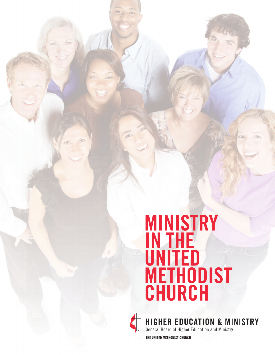## **MINISTRY IN THE UNITED METHODIST CHURCH**



**HIGHER EDUCATION & MINISTRY** 

General Board of Higher Education and Ministry

THE UNITED METHODIST CHURCH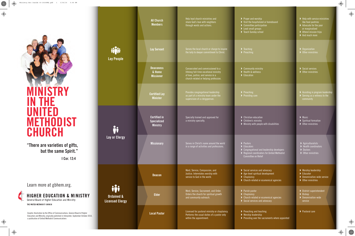**"There are varieties of gifts, but the same Spirit." I Cor. 12:4**

Learn more at gbhem.org.

HIGHER EDUCATION & MINISTRY General Board of Higher Education and Ministry

THE UNITED METHODIST CHURCH

| Lay People                                      | <b>All Church</b><br><b>Members</b>                          | Help lead church ministries and<br>share God's love with neighbors<br>through words and actions.                                                           | Prayer and worship<br>Visit the hospitalized or homebound<br>$\triangleright$ Committee participation<br>Lead small groups<br>Teach Sunday school   | $\blacktriangleright$ Help with service ministries<br>like food pantries<br>Advocate for the poor<br>or marginalized<br>Attend mission trips<br>$\blacktriangleright$ And much more |
|-------------------------------------------------|--------------------------------------------------------------|------------------------------------------------------------------------------------------------------------------------------------------------------------|-----------------------------------------------------------------------------------------------------------------------------------------------------|-------------------------------------------------------------------------------------------------------------------------------------------------------------------------------------|
|                                                 | <b>Lay Servant</b>                                           | Serves the local church or charge to inspire<br>the laity to deeper commitment to Christ.                                                                  | $\blacktriangleright$ Teaching<br>$\blacktriangleright$ Preaching                                                                                   | $\triangleright$ Organization<br>▶ Other ministries                                                                                                                                 |
|                                                 | <b>Deaconess</b><br>& Home<br><b>Missioner</b>               | Consecrated and commissioned to a<br>lifelong full-time vocational ministry<br>of love, justice, and service in a<br>church-related or helping profession. | Community ministry<br>Health & wellness<br>Education                                                                                                | Social services<br>▶ Other ministries                                                                                                                                               |
|                                                 | <b>Certified Lay</b><br><b>Minister</b>                      | Provides congregational leadership<br>as part of a ministry team under the<br>supervision of a clergyperson.                                               | $\blacktriangleright$ Preaching<br>Providing care                                                                                                   | Assisting in program leadership<br>Serving as a witness to the<br>community                                                                                                         |
| Lay or Glergy                                   | <b>Certified in</b><br><b>Specialized</b><br><b>Ministry</b> | Specially trained and approved for<br>a ministry specialty.                                                                                                | $\triangleright$ Christian education<br>▶ Children's ministry<br>Ministry with people with disabilities                                             | $\blacktriangleright$ Music<br>$\blacktriangleright$ Spiritual formation<br>$\triangleright$ Other ministries                                                                       |
|                                                 | <b>Missionary</b>                                            | Serves in Christ's name around the world<br>in a range of activities and professions.                                                                      | Pastors<br>Educators<br>Congregational and leadership developers<br>$\rightarrow$ Regional coordinators for United Methodist<br>Committee on Relief | $\blacktriangleright$ Agriculturalists<br>Health coordinators<br>Doctors<br>$\triangleright$ Other ministries                                                                       |
| <b>Ordained &amp;</b><br><b>Licensed Clergy</b> | <b>Deacon</b>                                                | Word, Service, Compassion, and<br>Justice. Interrelates worship with<br>service to God in the world.                                                       | Social services and advocacy<br>▶ Age-level spiritual development<br>$\blacktriangleright$ Chaplaincy<br>> Church-related or ecumenical agencies    | ▶ Worship leadership<br>$\blacktriangleright$ Educator<br>Denomination-wide service<br>▶ Other ministries                                                                           |
|                                                 | <b>Elder</b>                                                 | Word, Service, Sacrament, and Order.<br>Orders the church for spiritual growth<br>and community outreach.                                                  | ▶ Parish pastor<br>$\triangleright$ Chaplaincy<br>▶ Church-related or ecumenical agencies<br>Social services and advocacy                           | District superintendent<br>Bishop<br>Denomination-wide<br>service                                                                                                                   |
|                                                 | <b>Local Pastor</b>                                          | Licensed for pastoral ministry or chaplaincy.<br>Performs the usual duties of a pastor only<br>within the appointment.                                     | $\blacktriangleright$ Preaching and teaching<br>▶ Worship leadership<br>▶ Presiding over the sacraments where appointed                             | ▶ Pastoral care                                                                                                                                                                     |

## **MINISTRY IN THE UNITED METHODIST CHURCH**

**Ordained Licensed C** 

Graphic illustration by the Office of Communications, General Board of Higher Education and Ministry; originally published in Interpreter, September-October 2014, a publication of United Methodist Communications